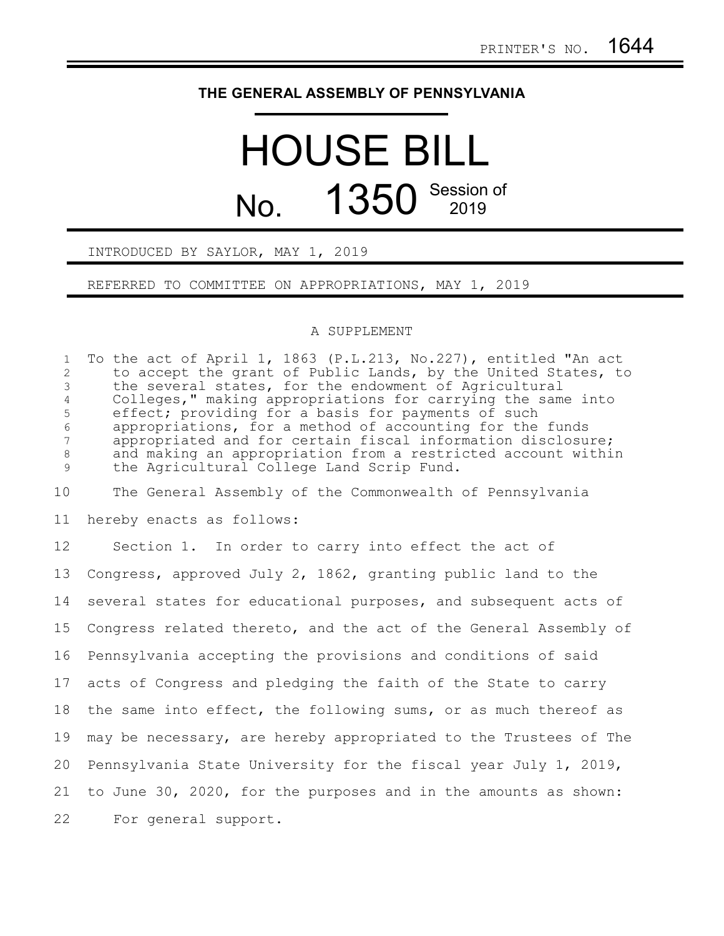## **THE GENERAL ASSEMBLY OF PENNSYLVANIA**

## HOUSE BILL No. 1350 Session of

## INTRODUCED BY SAYLOR, MAY 1, 2019

REFERRED TO COMMITTEE ON APPROPRIATIONS, MAY 1, 2019

## A SUPPLEMENT

To the act of April 1, 1863 (P.L.213, No.227), entitled "An act to accept the grant of Public Lands, by the United States, to the several states, for the endowment of Agricultural Colleges," making appropriations for carrying the same into effect; providing for a basis for payments of such appropriations, for a method of accounting for the funds appropriated and for certain fiscal information disclosure; and making an appropriation from a restricted account within the Agricultural College Land Scrip Fund. 1 2 3 4 5 6 7 8 9

The General Assembly of the Commonwealth of Pennsylvania hereby enacts as follows: 10 11

Section 1. In order to carry into effect the act of Congress, approved July 2, 1862, granting public land to the several states for educational purposes, and subsequent acts of Congress related thereto, and the act of the General Assembly of Pennsylvania accepting the provisions and conditions of said acts of Congress and pledging the faith of the State to carry the same into effect, the following sums, or as much thereof as may be necessary, are hereby appropriated to the Trustees of The Pennsylvania State University for the fiscal year July 1, 2019, to June 30, 2020, for the purposes and in the amounts as shown: For general support. 12 13 14 15 16 17 18 19 20 21 22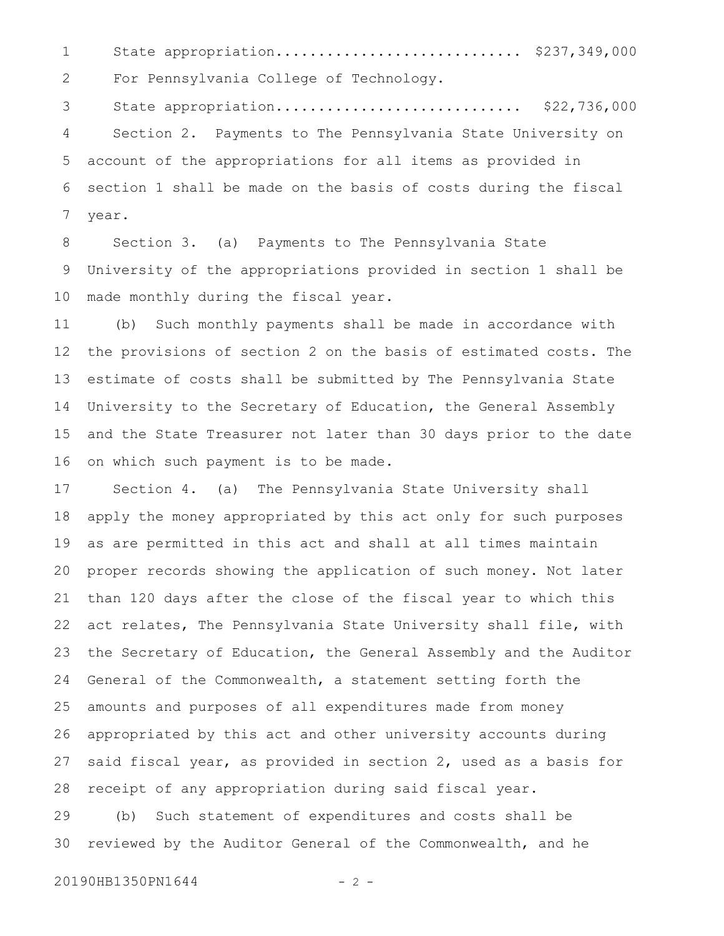State appropriation............................. \$237,349,000 For Pennsylvania College of Technology. State appropriation............................. \$22,736,000 1 2 3

Section 2. Payments to The Pennsylvania State University on account of the appropriations for all items as provided in section 1 shall be made on the basis of costs during the fiscal year. 4 5 6 7

Section 3. (a) Payments to The Pennsylvania State University of the appropriations provided in section 1 shall be made monthly during the fiscal year. 8 9 10

(b) Such monthly payments shall be made in accordance with the provisions of section 2 on the basis of estimated costs. The estimate of costs shall be submitted by The Pennsylvania State University to the Secretary of Education, the General Assembly and the State Treasurer not later than 30 days prior to the date on which such payment is to be made. 11 12 13 14 15 16

Section 4. (a) The Pennsylvania State University shall apply the money appropriated by this act only for such purposes as are permitted in this act and shall at all times maintain proper records showing the application of such money. Not later than 120 days after the close of the fiscal year to which this act relates, The Pennsylvania State University shall file, with the Secretary of Education, the General Assembly and the Auditor General of the Commonwealth, a statement setting forth the amounts and purposes of all expenditures made from money appropriated by this act and other university accounts during said fiscal year, as provided in section 2, used as a basis for receipt of any appropriation during said fiscal year. (b) Such statement of expenditures and costs shall be 17 18 19 20 21 22 23 24 25 26 27 28 29

reviewed by the Auditor General of the Commonwealth, and he 30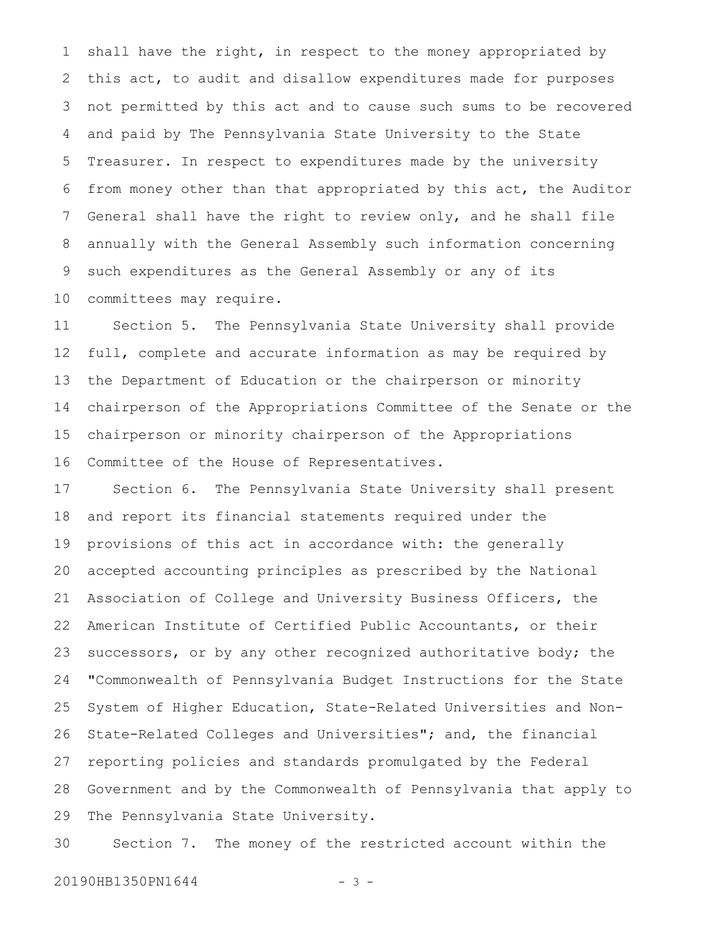shall have the right, in respect to the money appropriated by this act, to audit and disallow expenditures made for purposes not permitted by this act and to cause such sums to be recovered and paid by The Pennsylvania State University to the State Treasurer. In respect to expenditures made by the university from money other than that appropriated by this act, the Auditor General shall have the right to review only, and he shall file annually with the General Assembly such information concerning such expenditures as the General Assembly or any of its committees may require. 1 2 3 4 5 6 7 8 9 10

Section 5. The Pennsylvania State University shall provide full, complete and accurate information as may be required by the Department of Education or the chairperson or minority chairperson of the Appropriations Committee of the Senate or the chairperson or minority chairperson of the Appropriations Committee of the House of Representatives. 11 12 13 14 15 16

Section 6. The Pennsylvania State University shall present and report its financial statements required under the provisions of this act in accordance with: the generally accepted accounting principles as prescribed by the National Association of College and University Business Officers, the American Institute of Certified Public Accountants, or their successors, or by any other recognized authoritative body; the "Commonwealth of Pennsylvania Budget Instructions for the State System of Higher Education, State-Related Universities and Non-State-Related Colleges and Universities"; and, the financial reporting policies and standards promulgated by the Federal Government and by the Commonwealth of Pennsylvania that apply to The Pennsylvania State University. 17 18 19 20 21 22 23 24 25 26 27 28 29

Section 7. The money of the restricted account within the 30

20190HB1350PN1644 - 3 -